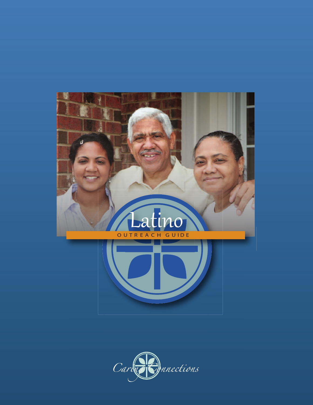

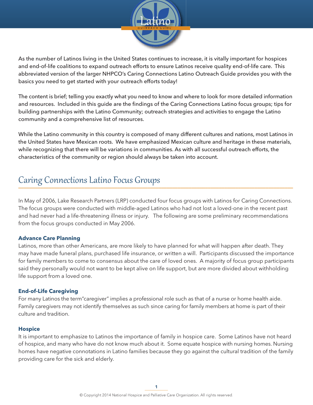

As the number of Latinos living in the United States continues to increase, it is vitally important for hospices and end-of-life coalitions to expand outreach efforts to ensure Latinos receive quality end-of-life care. This abbreviated version of the larger NHPCO's Caring Connections Latino Outreach Guide provides you with the basics you need to get started with your outreach efforts today!

The content is brief; telling you exactly what you need to know and where to look for more detailed information and resources. Included in this guide are the findings of the Caring Connections Latino focus groups; tips for building partnerships with the Latino Community; outreach strategies and activities to engage the Latino community and a comprehensive list of resources.

While the Latino community in this country is composed of many different cultures and nations, most Latinos in the United States have Mexican roots. We have emphasized Mexican culture and heritage in these materials, while recognizing that there will be variations in communities. As with all successful outreach efforts, the characteristics of the community or region should always be taken into account.

# Caring Connections Latino Focus Groups **\_\_\_\_\_\_\_\_\_\_\_\_\_\_\_\_\_\_\_\_\_\_\_\_\_\_\_\_\_\_\_\_\_\_\_\_\_\_\_\_\_\_\_\_\_\_\_\_\_\_\_\_\_\_\_\_\_\_\_\_\_\_\_\_\_\_\_\_\_\_\_\_\_\_\_\_\_\_\_\_\_\_\_\_\_\_\_\_\_\_\_\_\_\_\_\_\_\_\_\_**

In May of 2006, Lake Research Partners (LRP) conducted four focus groups with Latinos for Caring Connections. The focus groups were conducted with middle-aged Latinos who had not lost a loved-one in the recent past and had never had a life-threatening illness or injury. The following are some preliminary recommendations from the focus groups conducted in May 2006.

# **Advance Care Planning**

Latinos, more than other Americans, are more likely to have planned for what will happen after death. They may have made funeral plans, purchased life insurance, or written a will. Participants discussed the importance for family members to come to consensus about the care of loved ones. A majority of focus group participants said they personally would not want to be kept alive on life support, but are more divided about withholding life support from a loved one.

# **End-of-Life Caregiving**

For many Latinos the term"caregiver" implies a professional role such as that of a nurse or home health aide. Family caregivers may not identify themselves as such since caring for family members at home is part of their culture and tradition.

## **Hospice**

It is important to emphasize to Latinos the importance of family in hospice care. Some Latinos have not heard of hospice, and many who have do not know much about it. Some equate hospice with nursing homes. Nursing homes have negative connotations in Latino families because they go against the cultural tradition of the family providing care for the sick and elderly.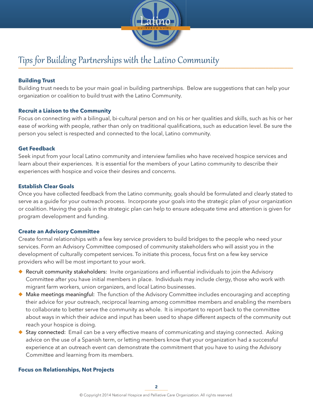

# Tips for Building Partnerships with the Latino Community **\_\_\_\_\_\_\_\_\_\_\_\_\_\_\_\_\_\_\_\_\_\_\_\_\_\_\_\_\_\_\_\_\_\_\_\_\_\_\_\_\_\_\_\_\_\_\_\_\_\_\_\_\_\_\_\_\_\_\_\_\_\_\_\_\_\_\_\_\_\_\_\_\_\_\_\_\_\_\_\_\_\_\_\_\_\_\_\_\_\_\_\_\_\_\_\_\_\_\_\_**

# **Building Trust**

Building trust needs to be your main goal in building partnerships. Below are suggestions that can help your organization or coalition to build trust with the Latino Community.

# **Recruit a Liaison to the Community**

Focus on connecting with a bilingual, bi-cultural person and on his or her qualities and skills, such as his or her ease of working with people, rather than only on traditional qualifications, such as education level. Be sure the person you select is respected and connected to the local, Latino community.

## **Get Feedback**

Seek input from your local Latino community and interview families who have received hospice services and learn about their experiences. It is essential for the members of your Latino community to describe their experiences with hospice and voice their desires and concerns.

## **Establish Clear Goals**

Once you have collected feedback from the Latino community, goals should be formulated and clearly stated to serve as a guide for your outreach process. Incorporate your goals into the strategic plan of your organization or coalition. Having the goals in the strategic plan can help to ensure adequate time and attention is given for program development and funding.

## **Create an Advisory Committee**

Create formal relationships with a few key service providers to build bridges to the people who need your services. Form an Advisory Committee composed of community stakeholders who will assist you in the development of culturally competent services. To initiate this process, focus first on a few key service providers who will be most important to your work.

- $\blacklozenge$  Recruit community stakeholders: Invite organizations and influential individuals to join the Advisory Committee after you have initial members in place. Individuals may include clergy, those who work with migrant farm workers, union organizers, and local Latino businesses.
- ◆ Make meetings meaningful: The function of the Advisory Committee includes encouraging and accepting their advice for your outreach, reciprocal learning among committee members and enabling the members to collaborate to better serve the community as whole. It is important to report back to the committee about ways in which their advice and input has been used to shape different aspects of the community out reach your hospice is doing.
- ◆ Stay connected: Email can be a very effective means of communicating and staying connected. Asking advice on the use of a Spanish term, or letting members know that your organization had a successful experience at an outreach event can demonstrate the commitment that you have to using the Advisory Committee and learning from its members.

## **Focus on Relationships, Not Projects**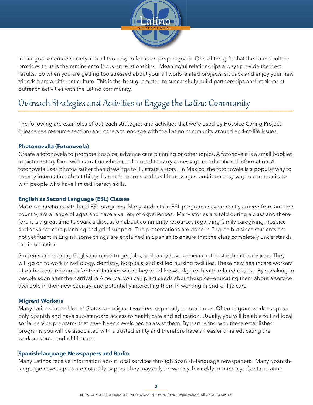

In our goal-oriented society, it is all too easy to focus on project goals. One of the gifts that the Latino culture provides to us is the reminder to focus on relationships. Meaningful relationships always provide the best results. So when you are getting too stressed about your all work-related projects, sit back and enjoy your new friends from a different culture. This is the best guarantee to successfully build partnerships and implement outreach activities with the Latino community.

# Outreach Strategies and Activities to Engage the Latino Community **\_\_\_\_\_\_\_\_\_\_\_\_\_\_\_\_\_\_\_\_\_\_\_\_\_\_\_\_\_\_\_\_\_\_\_\_\_\_\_\_\_\_\_\_\_\_\_\_\_\_\_\_\_\_\_\_\_\_\_\_\_\_\_\_\_\_\_\_\_\_\_\_\_\_\_\_\_\_\_\_\_\_\_\_\_\_\_\_\_\_\_\_\_\_\_\_\_\_\_\_**

The following are examples of outreach strategies and activities that were used by Hospice Caring Project (please see resource section) and others to engage with the Latino community around end-of-life issues.

# **Photonovella (Fotonovela)**

Create a fotonovela to promote hospice, advance care planning or other topics. A fotonovela is a small booklet in picture story form with narration which can be used to carry a message or educational information. A fotonovela uses photos rather than drawings to illustrate a story. In Mexico, the fotonovela is a popular way to convey information about things like social norms and health messages, and is an easy way to communicate with people who have limited literacy skills.

# **English as Second Language (ESL) Classes**

Make connections with local ESL programs. Many students in ESL programs have recently arrived from another country, are a range of ages and have a variety of experiences. Many stories are told during a class and therefore it is a great time to spark a discussion about community resources regarding family caregiving, hospice, and advance care planning and grief support. The presentations are done in English but since students are not yet fluent in English some things are explained in Spanish to ensure that the class completely understands the information.

Students are learning English in order to get jobs, and many have a special interest in healthcare jobs. They will go on to work in radiology, dentistry, hospitals, and skilled nursing facilities. These new healthcare workers often become resources for their families when they need knowledge on health related issues. By speaking to people soon after their arrival in America, you can plant seeds about hospice—educating them about a service available in their new country, and potentially interesting them in working in end-of-life care.

## **Migrant Workers**

Many Latinos in the United States are migrant workers, especially in rural areas. Often migrant workers speak only Spanish and have sub-standard access to health care and education. Usually, you will be able to find local social service programs that have been developed to assist them. By partnering with these established programs you will be associated with a trusted entity and therefore have an easier time educating the workers about end-of-life care.

## **Spanish-language Newspapers and Radio**

Many Latinos receive information about local services through Spanish-language newspapers. Many Spanishlanguage newspapers are not daily papers-they may only be weekly, biweekly or monthly. Contact Latino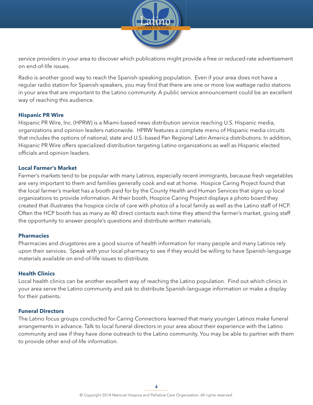

service providers in your area to discover which publications might provide a free or reduced-rate advertisement on end-of-life issues.

Radio is another good way to reach the Spanish-speaking population. Even if your area does not have a regular radio station for Spanish-speakers, you may find that there are one or more low wattage radio stations in your area that are important to the Latino community. A public service announcement could be an excellent way of reaching this audience.

### **Hispanic PR Wire**

Hispanic PR Wire, Inc. (HPRW) is a Miami-based news distribution service reaching U.S. Hispanic media, organizations and opinion leaders nationwide. HPRW features a complete menu of Hispanic media circuits that includes the options of national, state and U.S.-based Pan Regional Latin America distributions. In addition, Hispanic PR Wire offers specialized distribution targeting Latino organizations as well as Hispanic elected officials and opinion leaders.

#### **Local Farmer's Market**

Farmer's markets tend to be popular with many Latinos, especially recent immigrants, because fresh vegetables are very important to them and families generally cook and eat at home. Hospice Caring Project found that the local farmer's market has a booth paid for by the County Health and Human Services that signs up local organizations to provide information. At their booth, Hospice Caring Project displays a photo board they created that illustrates the hospice circle of care with photos of a local family as well as the Latino staff of HCP. Often the HCP booth has as many as 40 direct contacts each time they attend the farmer's market, giving staff the opportunity to answer people's questions and distribute written materials.

#### **Pharmacies**

Pharmacies and drugstores are a good source of health information for many people and many Latinos rely upon their services. Speak with your local pharmacy to see if they would be willing to have Spanish-language materials available on end-of-life issues to distribute.

#### **Health Clinics**

Local health clinics can be another excellent way of reaching the Latino population. Find out which clinics in your area serve the Latino community and ask to distribute Spanish-language information or make a display for their patients.

#### **Funeral Directors**

The Latino focus groups conducted for Caring Connections learned that many younger Latinos make funeral arrangements in advance. Talk to local funeral directors in your area about their experience with the Latino community and see if they have done outreach to the Latino community. You may be able to partner with them to provide other end-of-life information.